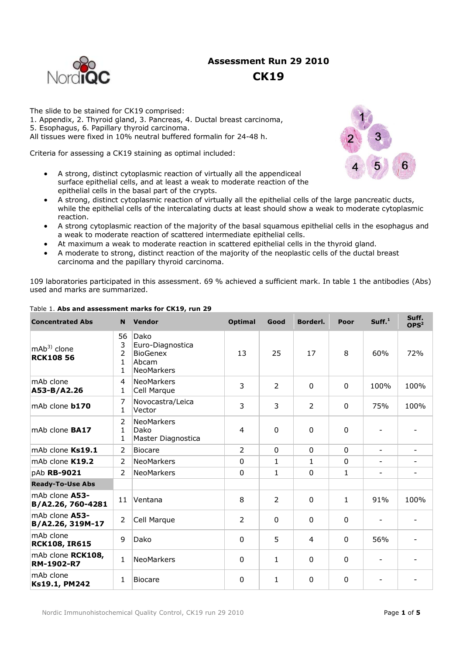

# **Assessment Run 29 2010**

## **CK19**

The slide to be stained for CK19 comprised: 1. Appendix, 2. Thyroid gland, 3. Pancreas, 4. Ductal breast carcinoma, 5. Esophagus, 6. Papillary thyroid carcinoma.

All tissues were fixed in 10% neutral buffered formalin for 24-48 h.

Criteria for assessing a CK19 staining as optimal included:

- A strong, distinct cytoplasmic reaction of virtually all the appendiceal surface epithelial cells, and at least a weak to moderate reaction of the epithelial cells in the basal part of the crypts.
- A strong, distinct cytoplasmic reaction of virtually all the epithelial cells of the large pancreatic ducts, while the epithelial cells of the intercalating ducts at least should show a weak to moderate cytoplasmic reaction.
- A strong cytoplasmic reaction of the majority of the basal squamous epithelial cells in the esophagus and a weak to moderate reaction of scattered intermediate epithelial cells.
- At maximum a weak to moderate reaction in scattered epithelial cells in the thyroid gland.
- A moderate to strong, distinct reaction of the majority of the neoplastic cells of the ductal breast carcinoma and the papillary thyroid carcinoma.

109 laboratories participated in this assessment. 69 % achieved a sufficient mark. In table 1 the antibodies (Abs) used and marks are summarized.

| <b>Concentrated Abs</b>             | N                                   | Vendor                                                                    | <b>Optimal</b> | Good           | Borderl.       | Poor         | Suff. <sup>1</sup>       | Suff.<br>OPS <sup>2</sup> |
|-------------------------------------|-------------------------------------|---------------------------------------------------------------------------|----------------|----------------|----------------|--------------|--------------------------|---------------------------|
| $mAb3$ clone<br><b>RCK108 56</b>    | 56<br>3<br>2<br>1<br>$\mathbf{1}$   | Dako<br>Euro-Diagnostica<br><b>BioGenex</b><br>Abcam<br><b>NeoMarkers</b> | 13             | 25             | 17             | 8            | 60%                      | 72%                       |
| mAb clone<br>A53-B/A2.26            | 4<br>1                              | <b>NeoMarkers</b><br>Cell Marque                                          | 3              | $\mathcal{P}$  | $\Omega$       | $\Omega$     | 100%                     | 100%                      |
| mAb clone <b>b170</b>               | 7<br>1                              | Novocastra/Leica<br>Vector                                                | 3              | 3              | $\overline{2}$ | $\Omega$     | 75%                      | 100%                      |
| mAb clone <b>BA17</b>               | $\overline{2}$<br>$\mathbf{1}$<br>1 | <b>NeoMarkers</b><br>Dako<br>Master Diagnostica                           | $\overline{4}$ | $\mathbf{0}$   | 0              | $\mathbf{0}$ |                          |                           |
| mAb clone Ks19.1                    | 2                                   | <b>Biocare</b>                                                            | $\overline{2}$ | $\mathbf{0}$   | 0              | $\mathbf{0}$ | $\overline{\phantom{a}}$ | $\overline{\phantom{0}}$  |
| mAb clone K19.2                     | $\mathcal{P}$                       | <b>NeoMarkers</b>                                                         | $\mathbf 0$    | $\mathbf{1}$   | $\mathbf{1}$   | $\mathbf 0$  | $\overline{a}$           |                           |
| pAb RB-9021                         | $\mathcal{P}$                       | <b>NeoMarkers</b>                                                         | $\mathbf 0$    | $\mathbf{1}$   | $\mathbf 0$    | $\mathbf{1}$ | $\overline{\phantom{0}}$ |                           |
| <b>Ready-To-Use Abs</b>             |                                     |                                                                           |                |                |                |              |                          |                           |
| mAb clone A53-<br>B/A2.26, 760-4281 | 11                                  | Ventana                                                                   | 8              | $\overline{2}$ | 0              | $\mathbf{1}$ | 91%                      | 100%                      |
| mAb clone A53-<br>B/A2.26, 319M-17  | $\overline{2}$                      | Cell Marque                                                               | $\overline{2}$ | $\Omega$       | 0              | $\Omega$     |                          |                           |
| mAb clone<br><b>RCK108, IR615</b>   | 9                                   | Dako                                                                      | $\mathbf 0$    | 5              | $\overline{4}$ | $\mathbf 0$  | 56%                      |                           |
| mAb clone RCK108,<br>RM-1902-R7     | $\mathbf{1}$                        | <b>NeoMarkers</b>                                                         | $\mathbf 0$    | $\mathbf{1}$   | $\Omega$       | $\mathbf 0$  |                          |                           |
| mAb clone<br>Ks19.1, PM242          | 1                                   | <b>Biocare</b>                                                            | $\mathbf 0$    | $\mathbf{1}$   | 0              | $\mathbf{0}$ |                          |                           |

#### Table 1. **Abs and assessment marks for CK19, run 29**

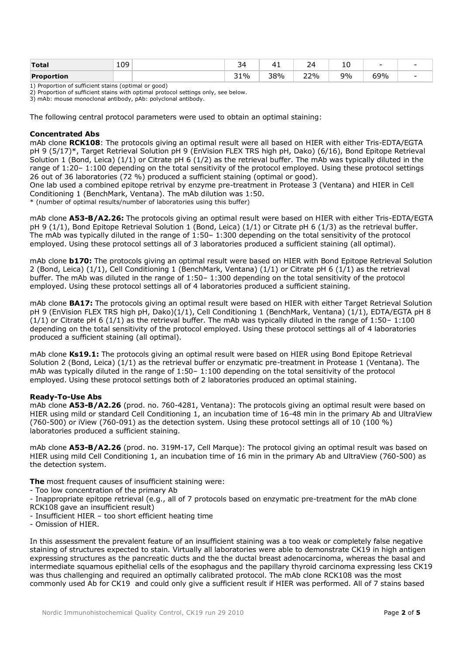| Total             | 109<br>__ | -<br>- | -   | _                | 1 L<br>$\sim$ | -   | - |
|-------------------|-----------|--------|-----|------------------|---------------|-----|---|
| <b>Proportion</b> |           | 31%    | 38% | 22%<br><u>__</u> | 9%            | 59% |   |

1) Proportion of sufficient stains (optimal or good)

2) Proportion of sufficient stains with optimal protocol settings only, see below.

3) mAb: mouse monoclonal antibody, pAb: polyclonal antibody.

The following central protocol parameters were used to obtain an optimal staining:

#### **Concentrated Abs**

mAb clone **RCK108**: The protocols giving an optimal result were all based on HIER with either Tris-EDTA/EGTA pH 9 (5/17)\*, Target Retrieval Solution pH 9 (EnVision FLEX TRS high pH, Dako) (6/16), Bond Epitope Retrieval Solution 1 (Bond, Leica) (1/1) or Citrate pH 6 (1/2) as the retrieval buffer. The mAb was typically diluted in the range of 1:20– 1:100 depending on the total sensitivity of the protocol employed. Using these protocol settings 26 out of 36 laboratories (72 %) produced a sufficient staining (optimal or good).

One lab used a combined epitope retrival by enzyme pre-treatment in Protease 3 (Ventana) and HIER in Cell Conditioning 1 (BenchMark, Ventana). The mAb dilution was 1:50.

\* (number of optimal results/number of laboratories using this buffer)

mAb clone **A53-B/A2.26:** The protocols giving an optimal result were based on HIER with either Tris-EDTA/EGTA pH 9 (1/1), Bond Epitope Retrieval Solution 1 (Bond, Leica) (1/1) or Citrate pH 6 (1/3) as the retrieval buffer. The mAb was typically diluted in the range of 1:50– 1:300 depending on the total sensitivity of the protocol employed. Using these protocol settings all of 3 laboratories produced a sufficient staining (all optimal).

mAb clone **b170:** The protocols giving an optimal result were based on HIER with Bond Epitope Retrieval Solution 2 (Bond, Leica) (1/1), Cell Conditioning 1 (BenchMark, Ventana) (1/1) or Citrate pH 6 (1/1) as the retrieval buffer. The mAb was diluted in the range of 1:50– 1:300 depending on the total sensitivity of the protocol employed. Using these protocol settings all of 4 laboratories produced a sufficient staining.

mAb clone **BA17:** The protocols giving an optimal result were based on HIER with either Target Retrieval Solution pH 9 (EnVision FLEX TRS high pH, Dako)(1/1), Cell Conditioning 1 (BenchMark, Ventana) (1/1), EDTA/EGTA pH 8  $(1/1)$  or Citrate pH 6  $(1/1)$  as the retrieval buffer. The mAb was typically diluted in the range of 1:50 – 1:100 depending on the total sensitivity of the protocol employed. Using these protocol settings all of 4 laboratories produced a sufficient staining (all optimal).

mAb clone **Ks19.1:** The protocols giving an optimal result were based on HIER using Bond Epitope Retrieval Solution 2 (Bond, Leica) (1/1) as the retrieval buffer or enzymatic pre-treatment in Protease 1 (Ventana). The mAb was typically diluted in the range of 1:50– 1:100 depending on the total sensitivity of the protocol employed. Using these protocol settings both of 2 laboratories produced an optimal staining.

### **Ready-To-Use Abs**

mAb clone **A53-B/A2.26** (prod. no. 760-4281, Ventana): The protocols giving an optimal result were based on HIER using mild or standard Cell Conditioning 1, an incubation time of 16-48 min in the primary Ab and UltraView (760-500) or iView (760-091) as the detection system. Using these protocol settings all of 10 (100 %) laboratories produced a sufficient staining.

mAb clone **A53-B/A2.26** (prod. no. 319M-17, Cell Marque): The protocol giving an optimal result was based on HIER using mild Cell Conditioning 1, an incubation time of 16 min in the primary Ab and UltraView (760-500) as the detection system.

#### **The** most frequent causes of insufficient staining were:

- Too low concentration of the primary Ab
- Inappropriate epitope retrieval (e.g., all of 7 protocols based on enzymatic pre-treatment for the mAb clone RCK108 gave an insufficient result)
- Insufficient HIER too short efficient heating time
- Omission of HIER.

In this assessment the prevalent feature of an insufficient staining was a too weak or completely false negative staining of structures expected to stain. Virtually all laboratories were able to demonstrate CK19 in high antigen expressing structures as the pancreatic ducts and the the ductal breast adenocarcinoma, whereas the basal and intermediate squamous epithelial cells of the esophagus and the papillary thyroid carcinoma expressing less CK19 was thus challenging and required an optimally calibrated protocol. The mAb clone RCK108 was the most commonly used Ab for CK19 and could only give a sufficient result if HIER was performed. All of 7 stains based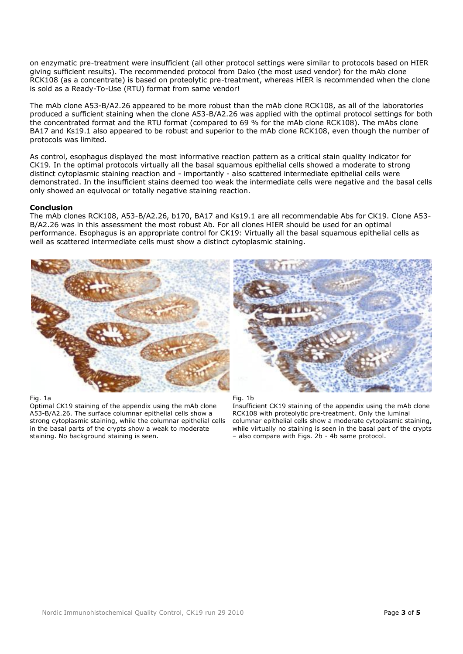on enzymatic pre-treatment were insufficient (all other protocol settings were similar to protocols based on HIER giving sufficient results). The recommended protocol from Dako (the most used vendor) for the mAb clone RCK108 (as a concentrate) is based on proteolytic pre-treatment, whereas HIER is recommended when the clone is sold as a Ready-To-Use (RTU) format from same vendor!

The mAb clone A53-B/A2.26 appeared to be more robust than the mAb clone RCK108, as all of the laboratories produced a sufficient staining when the clone A53-B/A2.26 was applied with the optimal protocol settings for both the concentrated format and the RTU format (compared to 69 % for the mAb clone RCK108). The mAbs clone BA17 and Ks19.1 also appeared to be robust and superior to the mAb clone RCK108, even though the number of protocols was limited.

As control, esophagus displayed the most informative reaction pattern as a critical stain quality indicator for CK19. In the optimal protocols virtually all the basal squamous epithelial cells showed a moderate to strong distinct cytoplasmic staining reaction and - importantly - also scattered intermediate epithelial cells were demonstrated. In the insufficient stains deemed too weak the intermediate cells were negative and the basal cells only showed an equivocal or totally negative staining reaction.

### **Conclusion**

The mAb clones RCK108, A53-B/A2.26, b170, BA17 and Ks19.1 are all recommendable Abs for CK19. Clone A53- B/A2.26 was in this assessment the most robust Ab. For all clones HIER should be used for an optimal performance. Esophagus is an appropriate control for CK19: Virtually all the basal squamous epithelial cells as well as scattered intermediate cells must show a distinct cytoplasmic staining.



### Fig. 1a

Optimal CK19 staining of the appendix using the mAb clone A53-B/A2.26. The surface columnar epithelial cells show a strong cytoplasmic staining, while the columnar epithelial cells in the basal parts of the crypts show a weak to moderate staining. No background staining is seen.



Fig. 1b

Insufficient CK19 staining of the appendix using the mAb clone RCK108 with proteolytic pre-treatment. Only the luminal columnar epithelial cells show a moderate cytoplasmic staining, while virtually no staining is seen in the basal part of the crypts – also compare with Figs. 2b - 4b same protocol.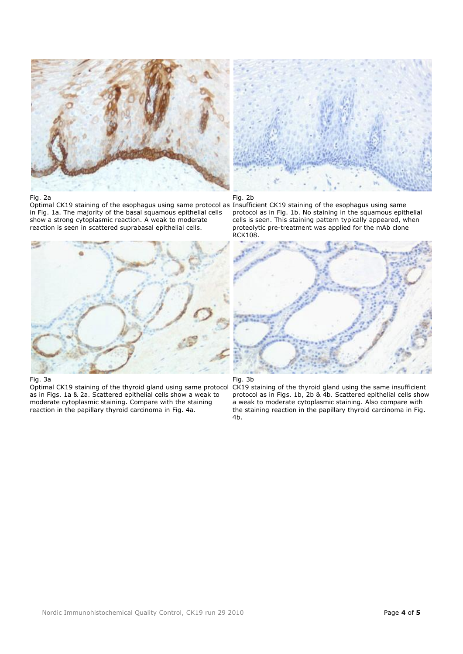

#### Fig. 2a

Optimal CK19 staining of the esophagus using same protocol as Insufficient CK19 staining of the esophagus using same in Fig. 1a. The majority of the basal squamous epithelial cells show a strong cytoplasmic reaction. A weak to moderate reaction is seen in scattered suprabasal epithelial cells.



#### Fig. 3a

Optimal CK19 staining of the thyroid gland using same protocol as in Figs. 1a & 2a. Scattered epithelial cells show a weak to moderate cytoplasmic staining. Compare with the staining reaction in the papillary thyroid carcinoma in Fig. 4a.



Fig. 2b

protocol as in Fig. 1b. No staining in the squamous epithelial cells is seen. This staining pattern typically appeared, when proteolytic pre-treatment was applied for the mAb clone RCK108.





CK19 staining of the thyroid gland using the same insufficient protocol as in Figs. 1b, 2b & 4b. Scattered epithelial cells show a weak to moderate cytoplasmic staining. Also compare with the staining reaction in the papillary thyroid carcinoma in Fig. 4b.